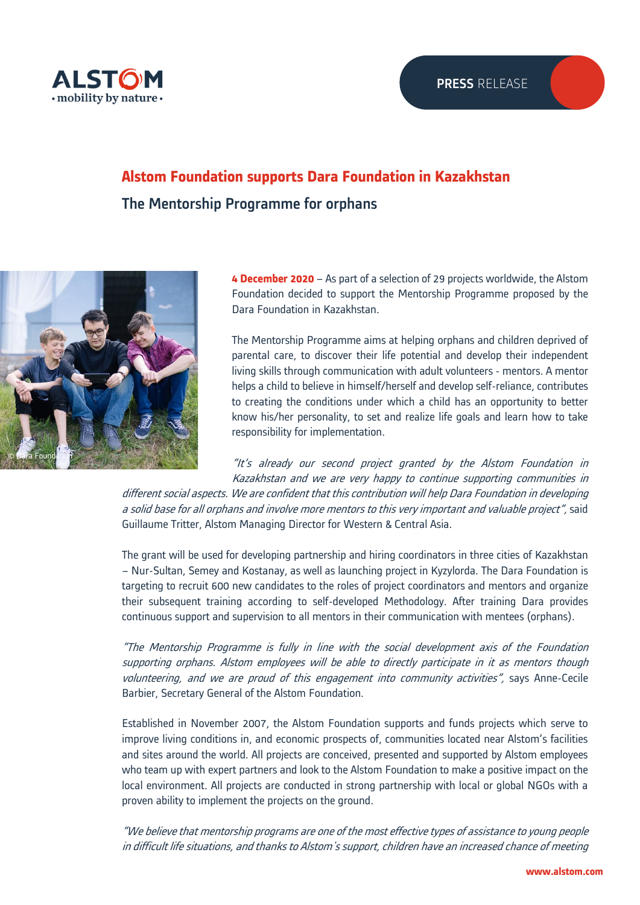## **Alstom Foundation supports Dara Foundation in Kazakhstan**  The Mentorship Programme for orphans



**4 December 2020** – As part of a selection of 29 projects worldwide, the Alstom Foundation decided to support the Mentorship Programme proposed by the Dara Foundation in Kazakhstan.

The Mentorship Programme aims at helping orphans and children deprived of parental care, to discover their life potential and develop their independent living skills through communication with adult volunteers - mentors. A mentor helps a child to believe in himself/herself and develop self-reliance, contributes to creating the conditions under which a child has an opportunity to better know his/her personality, to set and realize life goals and learn how to take responsibility for implementation.

"It's already our second project granted by the Alstom Foundation in Kazakhstan and we are very happy to continue supporting communities in

different social aspects. We are confident that this contribution will help Dara Foundation in developing a solid base for all orphans and involve more mentors to this very important and valuable project", said Guillaume Tritter, Alstom Managing Director for Western & Central Asia.

The grant will be used for developing partnership and hiring coordinators in three cities of Kazakhstan – Nur-Sultan, Semey and Kostanay, as well as launching project in Kyzylorda. The Dara Foundation is targeting to recruit 600 new candidates to the roles of project coordinators and mentors and organize their subsequent training according to self-developed Methodology. After training Dara provides continuous support and supervision to all mentors in their communication with mentees (orphans).

"The Mentorship Programme is fully in line with the social development axis of the Foundation supporting orphans. Alstom employees will be able to directly participate in it as mentors though volunteering, and we are proud of this engagement into community activities", says Anne-Cecile Barbier, Secretary General of the Alstom Foundation.

Established in November 2007, the Alstom Foundation supports and funds projects which serve to improve living conditions in, and economic prospects of, communities located near Alstom's facilities and sites around the world. All projects are conceived, presented and supported by Alstom employees who team up with expert partners and look to the Alstom Foundation to make a positive impact on the local environment. All projects are conducted in strong partnership with local or global NGOs with a proven ability to implement the projects on the ground.

"We believe that mentorship programs are one of the most effective types of assistance to young people in difficult life situations, and thanks to Alstom's support, children have an increased chance of meeting